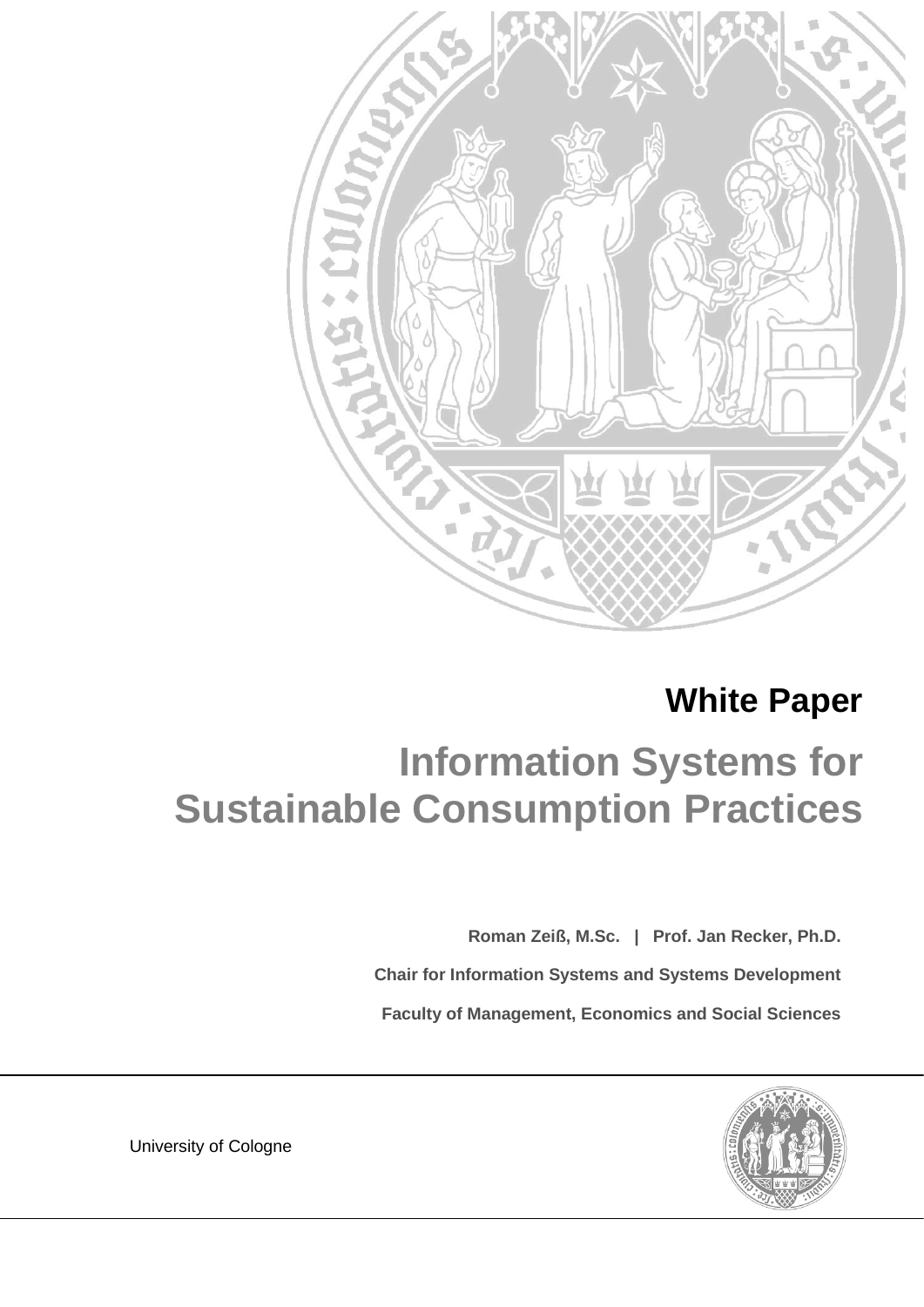

# **White Paper**

# **Information Systems for Sustainable Consumption Practices**

**Roman Zeiß, M.Sc. | Prof. Jan Recker, Ph.D.**

**Chair for Information Systems and Systems Development**

**Faculty of Management, Economics and Social Sciences**



**University of Cologne**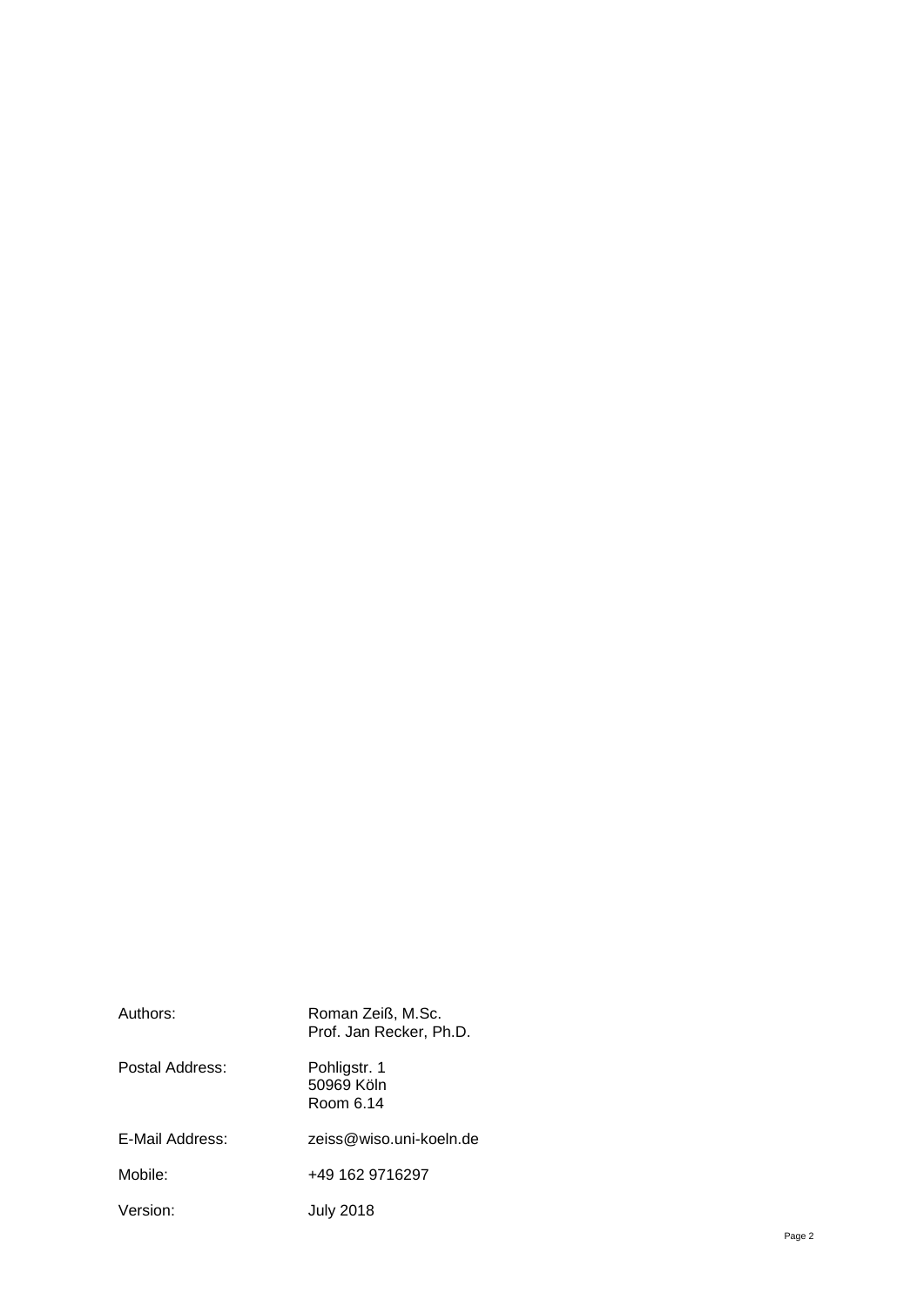| Authors:        | Roman Zeiß, M.Sc.<br>Prof. Jan Recker, Ph.D. |
|-----------------|----------------------------------------------|
| Postal Address: | Pohligstr. 1<br>50969 Köln<br>Room 6.14      |
| E-Mail Address: | zeiss@wiso.uni-koeln.de                      |
| Mobile:         | +49 162 9716297                              |
| Version:        | July 2018                                    |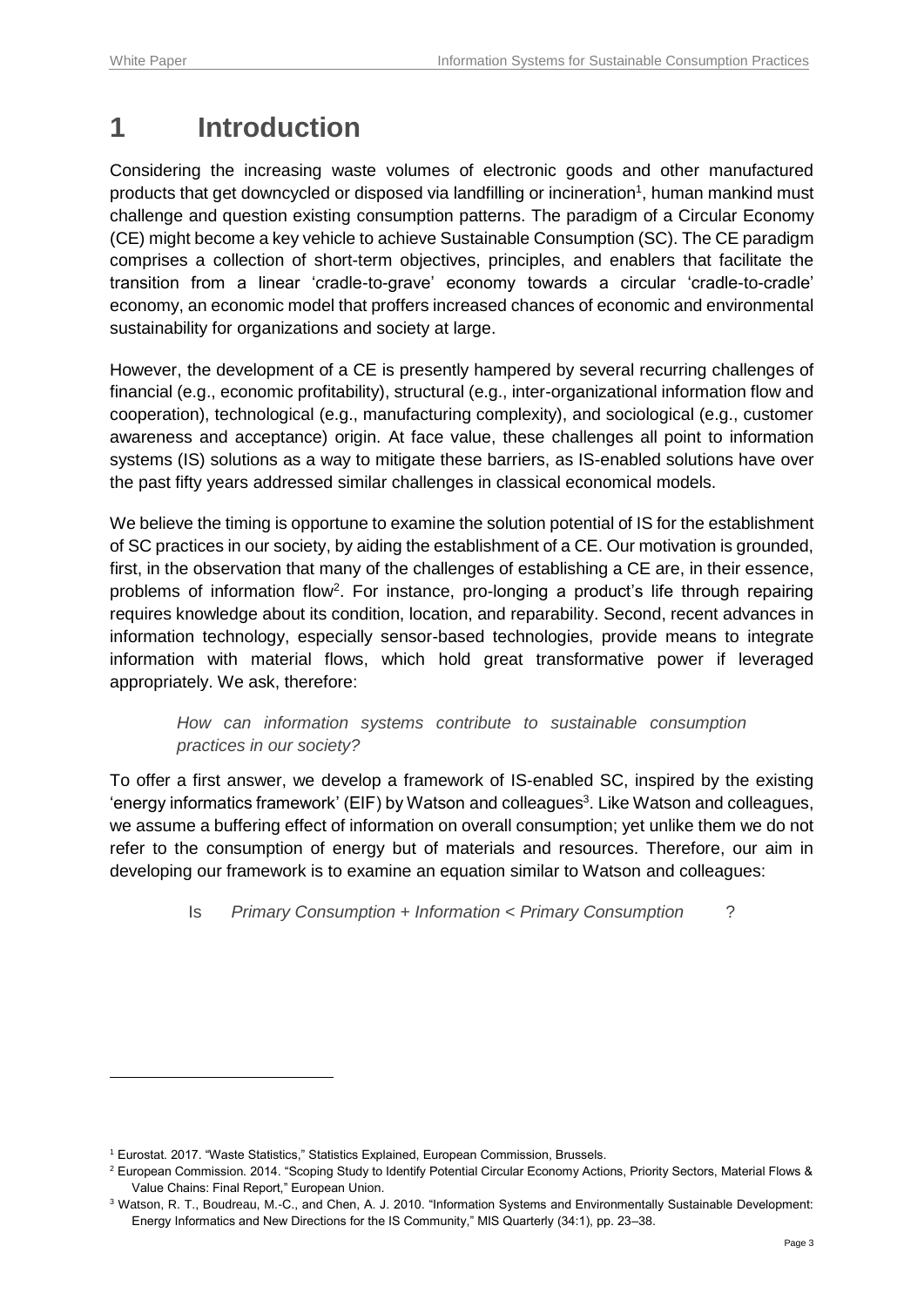-

### **1 Introduction**

Considering the increasing waste volumes of electronic goods and other manufactured products that get downcycled or disposed via landfilling or incineration<sup>1</sup>, human mankind must challenge and question existing consumption patterns. The paradigm of a Circular Economy (CE) might become a key vehicle to achieve Sustainable Consumption (SC). The CE paradigm comprises a collection of short-term objectives, principles, and enablers that facilitate the transition from a linear 'cradle-to-grave' economy towards a circular 'cradle-to-cradle' economy, an economic model that proffers increased chances of economic and environmental sustainability for organizations and society at large.

However, the development of a CE is presently hampered by several recurring challenges of financial (e.g., economic profitability), structural (e.g., inter-organizational information flow and cooperation), technological (e.g., manufacturing complexity), and sociological (e.g., customer awareness and acceptance) origin. At face value, these challenges all point to information systems (IS) solutions as a way to mitigate these barriers, as IS-enabled solutions have over the past fifty years addressed similar challenges in classical economical models.

We believe the timing is opportune to examine the solution potential of IS for the establishment of SC practices in our society, by aiding the establishment of a CE. Our motivation is grounded, first, in the observation that many of the challenges of establishing a CE are, in their essence, problems of information flow<sup>2</sup>. For instance, pro-longing a product's life through repairing requires knowledge about its condition, location, and reparability. Second, recent advances in information technology, especially sensor-based technologies, provide means to integrate information with material flows, which hold great transformative power if leveraged appropriately. We ask, therefore:

#### *How can information systems contribute to sustainable consumption practices in our society?*

To offer a first answer, we develop a framework of IS-enabled SC, inspired by the existing 'energy informatics framework' (EIF) by Watson and colleagues<sup>3</sup>. Like Watson and colleagues, we assume a buffering effect of information on overall consumption; yet unlike them we do not refer to the consumption of energy but of materials and resources. Therefore, our aim in developing our framework is to examine an equation similar to Watson and colleagues:

Is *Primary Consumption + Information < Primary Consumption* ?

<sup>1</sup> Eurostat. 2017. "Waste Statistics," Statistics Explained, European Commission, Brussels.

<sup>&</sup>lt;sup>2</sup> European Commission. 2014. "Scoping Study to Identify Potential Circular Economy Actions, Priority Sectors, Material Flows & Value Chains: Final Report," European Union.

<sup>3</sup> Watson, R. T., Boudreau, M.-C., and Chen, A. J. 2010. "Information Systems and Environmentally Sustainable Development: Energy Informatics and New Directions for the IS Community," MIS Quarterly (34:1), pp. 23–38.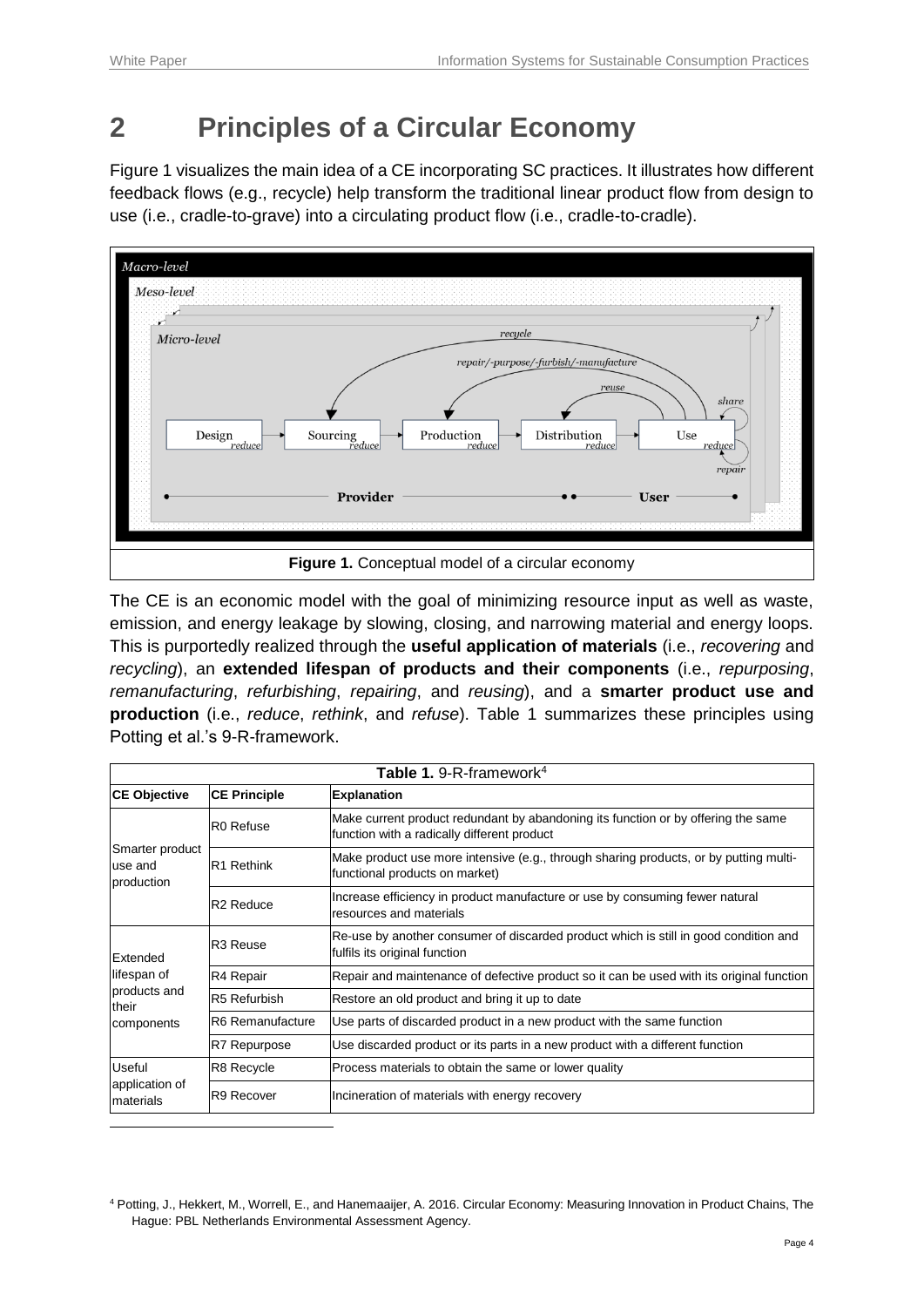## **2 Principles of a Circular Economy**

[Figure 1](#page-3-0) visualizes the main idea of a CE incorporating SC practices. It illustrates how different feedback flows (e.g., recycle) help transform the traditional linear product flow from design to use (i.e., cradle-to-grave) into a circulating product flow (i.e., cradle-to-cradle).



<span id="page-3-0"></span>The CE is an economic model with the goal of minimizing resource input as well as waste, emission, and energy leakage by slowing, closing, and narrowing material and energy loops. This is purportedly realized through the **useful application of materials** (i.e., *recovering* and *recycling*), an **extended lifespan of products and their components** (i.e., *repurposing*, *remanufacturing*, *refurbishing*, *repairing*, and *reusing*), and a **smarter product use and production** (i.e., *reduce*, *rethink*, and *refuse*). [Table 1](#page-3-1) summarizes these principles using Potting et al.'s 9-R-framework.

<span id="page-3-1"></span>

| <b>Table 1.</b> 9-R-framework <sup>4</sup>                     |                        |                                                                                                                                  |  |  |  |  |  |
|----------------------------------------------------------------|------------------------|----------------------------------------------------------------------------------------------------------------------------------|--|--|--|--|--|
| <b>CE Objective</b>                                            | <b>CE Principle</b>    | <b>Explanation</b>                                                                                                               |  |  |  |  |  |
| Smarter product<br>use and<br>production                       | R <sub>0</sub> Refuse  | Make current product redundant by abandoning its function or by offering the same<br>function with a radically different product |  |  |  |  |  |
|                                                                | R <sub>1</sub> Rethink | Make product use more intensive (e.g., through sharing products, or by putting multi-<br>functional products on market)          |  |  |  |  |  |
|                                                                | R <sub>2</sub> Reduce  | Increase efficiency in product manufacture or use by consuming fewer natural<br>resources and materials                          |  |  |  |  |  |
| Extended<br>lifespan of<br>products and<br>their<br>components | R <sub>3</sub> Reuse   | Re-use by another consumer of discarded product which is still in good condition and<br>fulfils its original function            |  |  |  |  |  |
|                                                                | R4 Repair              | Repair and maintenance of defective product so it can be used with its original function                                         |  |  |  |  |  |
|                                                                | R5 Refurbish           | Restore an old product and bring it up to date                                                                                   |  |  |  |  |  |
|                                                                | R6 Remanufacture       | Use parts of discarded product in a new product with the same function                                                           |  |  |  |  |  |
|                                                                | R7 Repurpose           | Use discarded product or its parts in a new product with a different function                                                    |  |  |  |  |  |
| Useful<br>application of<br>materials                          | R8 Recycle             | Process materials to obtain the same or lower quality                                                                            |  |  |  |  |  |
|                                                                | R9 Recover             | Incineration of materials with energy recovery                                                                                   |  |  |  |  |  |
|                                                                |                        |                                                                                                                                  |  |  |  |  |  |

<sup>4</sup> Potting, J., Hekkert, M., Worrell, E., and Hanemaaijer, A. 2016. Circular Economy: Measuring Innovation in Product Chains, The Hague: PBL Netherlands Environmental Assessment Agency.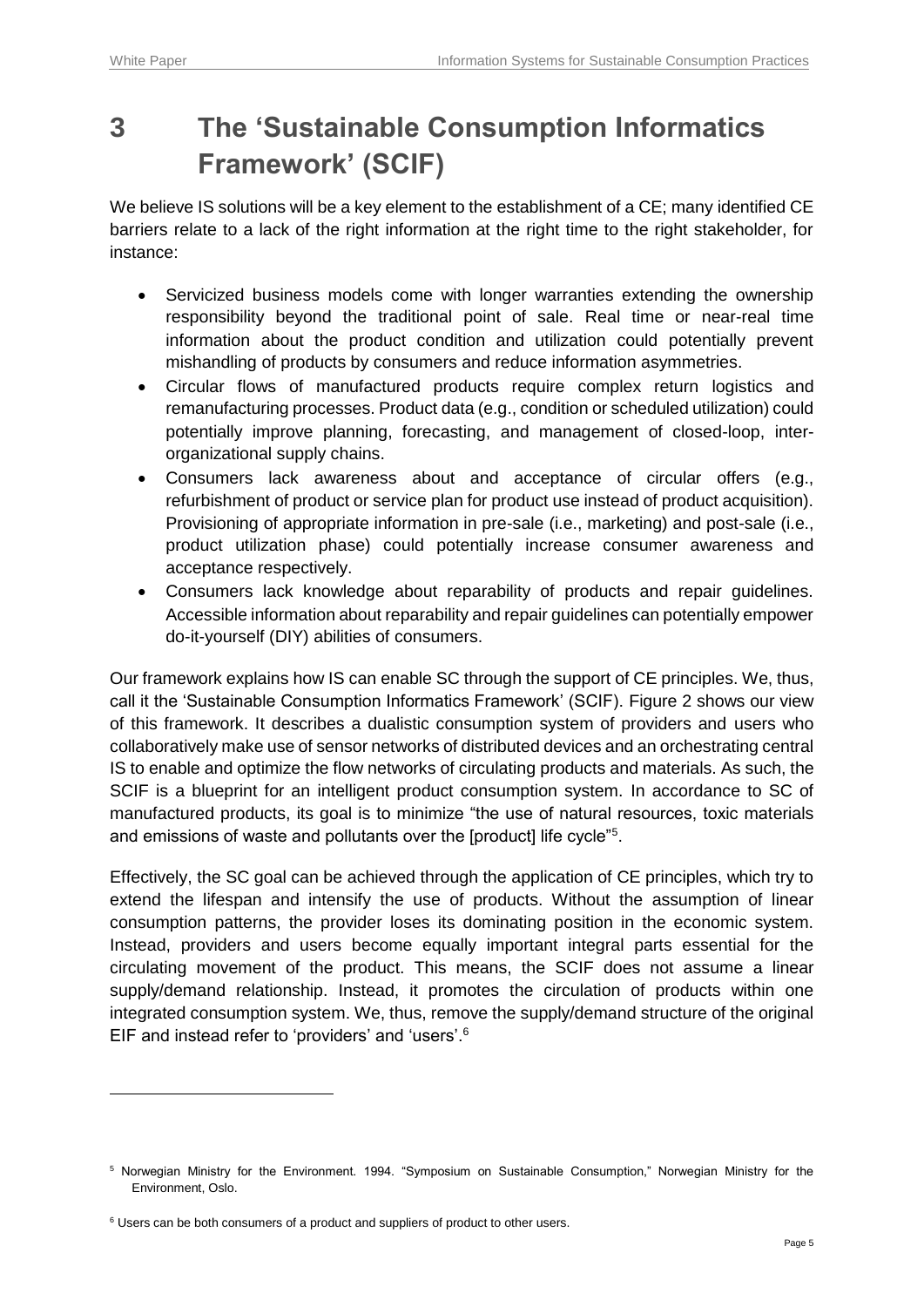-

### **3 The 'Sustainable Consumption Informatics Framework' (SCIF)**

We believe IS solutions will be a key element to the establishment of a CE; many identified CE barriers relate to a lack of the right information at the right time to the right stakeholder, for instance:

- Servicized business models come with longer warranties extending the ownership responsibility beyond the traditional point of sale. Real time or near-real time information about the product condition and utilization could potentially prevent mishandling of products by consumers and reduce information asymmetries.
- Circular flows of manufactured products require complex return logistics and remanufacturing processes. Product data (e.g., condition or scheduled utilization) could potentially improve planning, forecasting, and management of closed-loop, interorganizational supply chains.
- Consumers lack awareness about and acceptance of circular offers (e.g., refurbishment of product or service plan for product use instead of product acquisition). Provisioning of appropriate information in pre-sale (i.e., marketing) and post-sale (i.e., product utilization phase) could potentially increase consumer awareness and acceptance respectively.
- Consumers lack knowledge about reparability of products and repair guidelines. Accessible information about reparability and repair guidelines can potentially empower do-it-yourself (DIY) abilities of consumers.

Our framework explains how IS can enable SC through the support of CE principles. We, thus, call it the 'Sustainable Consumption Informatics Framework' (SCIF). [Figure 2](#page-5-0) shows our view of this framework. It describes a dualistic consumption system of providers and users who collaboratively make use of sensor networks of distributed devices and an orchestrating central IS to enable and optimize the flow networks of circulating products and materials. As such, the SCIF is a blueprint for an intelligent product consumption system. In accordance to SC of manufactured products, its goal is to minimize "the use of natural resources, toxic materials and emissions of waste and pollutants over the [product] life cycle"<sup>5</sup>.

Effectively, the SC goal can be achieved through the application of CE principles, which try to extend the lifespan and intensify the use of products. Without the assumption of linear consumption patterns, the provider loses its dominating position in the economic system. Instead, providers and users become equally important integral parts essential for the circulating movement of the product. This means, the SCIF does not assume a linear supply/demand relationship. Instead, it promotes the circulation of products within one integrated consumption system. We, thus, remove the supply/demand structure of the original EIF and instead refer to 'providers' and 'users'.<sup>6</sup>

<sup>5</sup> Norwegian Ministry for the Environment. 1994. "Symposium on Sustainable Consumption," Norwegian Ministry for the Environment, Oslo.

<sup>&</sup>lt;sup>6</sup> Users can be both consumers of a product and suppliers of product to other users.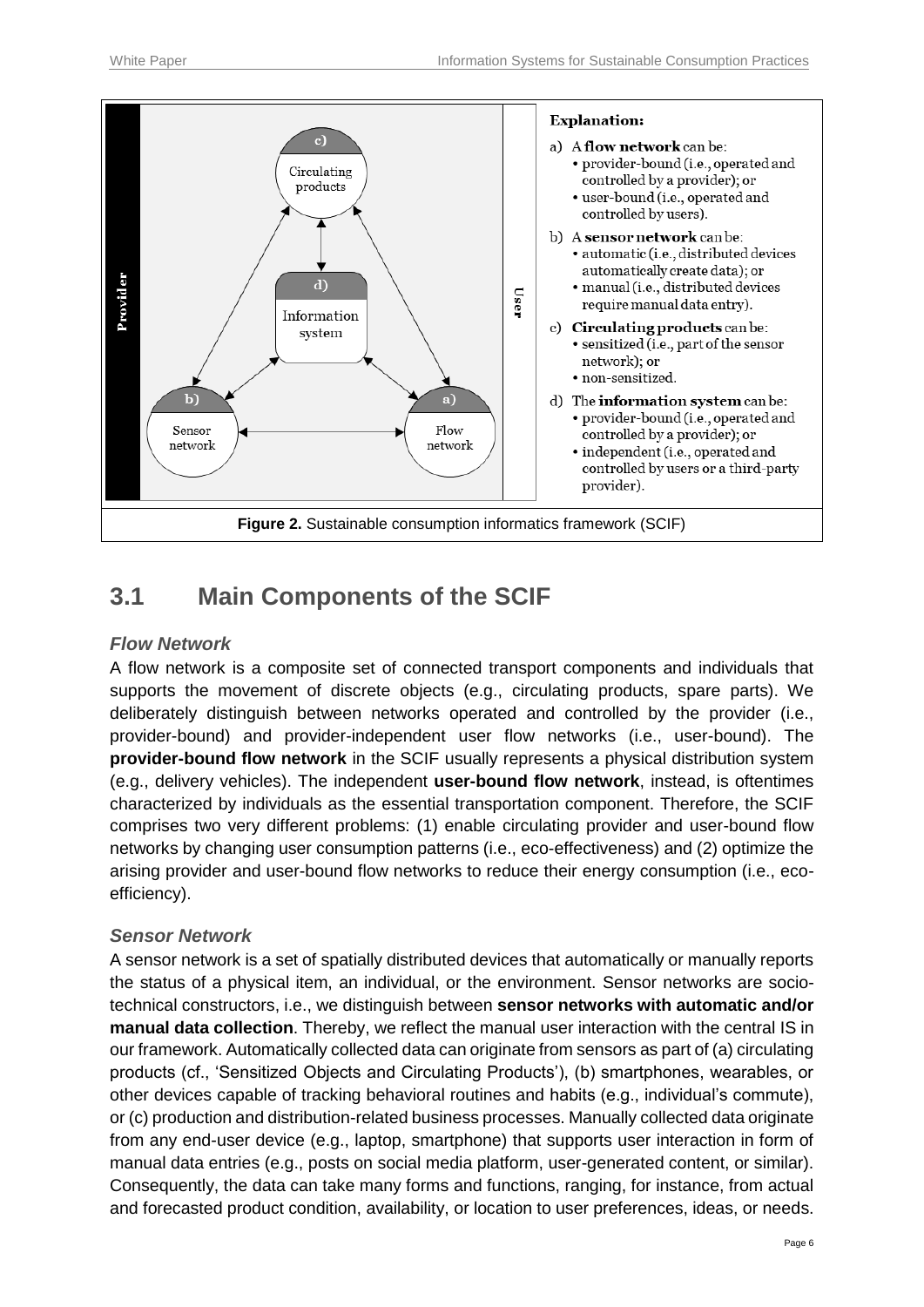

### <span id="page-5-0"></span>**3.1 Main Components of the SCIF**

#### *Flow Network*

A flow network is a composite set of connected transport components and individuals that supports the movement of discrete objects (e.g., circulating products, spare parts). We deliberately distinguish between networks operated and controlled by the provider (i.e., provider-bound) and provider-independent user flow networks (i.e., user-bound). The **provider-bound flow network** in the SCIF usually represents a physical distribution system (e.g., delivery vehicles). The independent **user-bound flow network**, instead, is oftentimes characterized by individuals as the essential transportation component. Therefore, the SCIF comprises two very different problems: (1) enable circulating provider and user-bound flow networks by changing user consumption patterns (i.e., eco-effectiveness) and (2) optimize the arising provider and user-bound flow networks to reduce their energy consumption (i.e., ecoefficiency).

#### *Sensor Network*

A sensor network is a set of spatially distributed devices that automatically or manually reports the status of a physical item, an individual, or the environment. Sensor networks are sociotechnical constructors, i.e., we distinguish between **sensor networks with automatic and/or manual data collection**. Thereby, we reflect the manual user interaction with the central IS in our framework. Automatically collected data can originate from sensors as part of (a) circulating products (cf., 'Sensitized Objects and Circulating Products'), (b) smartphones, wearables, or other devices capable of tracking behavioral routines and habits (e.g., individual's commute), or (c) production and distribution-related business processes. Manually collected data originate from any end-user device (e.g., laptop, smartphone) that supports user interaction in form of manual data entries (e.g., posts on social media platform, user-generated content, or similar). Consequently, the data can take many forms and functions, ranging, for instance, from actual and forecasted product condition, availability, or location to user preferences, ideas, or needs.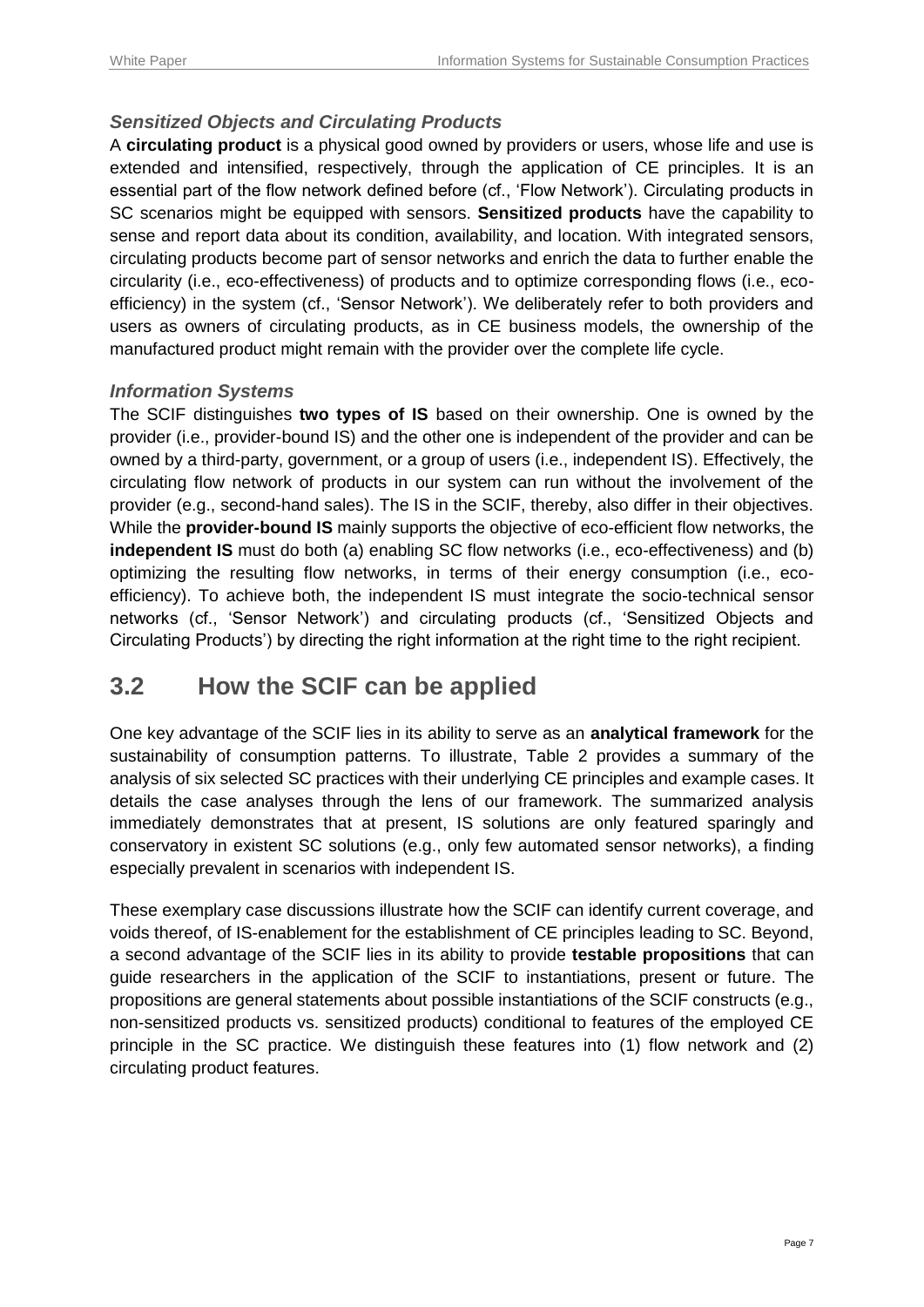#### *Sensitized Objects and Circulating Products*

A **circulating product** is a physical good owned by providers or users, whose life and use is extended and intensified, respectively, through the application of CE principles. It is an essential part of the flow network defined before (cf., 'Flow Network'). Circulating products in SC scenarios might be equipped with sensors. **Sensitized products** have the capability to sense and report data about its condition, availability, and location. With integrated sensors, circulating products become part of sensor networks and enrich the data to further enable the circularity (i.e., eco-effectiveness) of products and to optimize corresponding flows (i.e., ecoefficiency) in the system (cf., 'Sensor Network'). We deliberately refer to both providers and users as owners of circulating products, as in CE business models, the ownership of the manufactured product might remain with the provider over the complete life cycle.

#### *Information Systems*

The SCIF distinguishes **two types of IS** based on their ownership. One is owned by the provider (i.e., provider-bound IS) and the other one is independent of the provider and can be owned by a third-party, government, or a group of users (i.e., independent IS). Effectively, the circulating flow network of products in our system can run without the involvement of the provider (e.g., second-hand sales). The IS in the SCIF, thereby, also differ in their objectives. While the **provider-bound IS** mainly supports the objective of eco-efficient flow networks, the **independent IS** must do both (a) enabling SC flow networks (i.e., eco-effectiveness) and (b) optimizing the resulting flow networks, in terms of their energy consumption (i.e., ecoefficiency). To achieve both, the independent IS must integrate the socio-technical sensor networks (cf., 'Sensor Network') and circulating products (cf., 'Sensitized Objects and Circulating Products') by directing the right information at the right time to the right recipient.

### **3.2 How the SCIF can be applied**

One key advantage of the SCIF lies in its ability to serve as an **analytical framework** for the sustainability of consumption patterns. To illustrate, [Table 2](#page-7-0) provides a summary of the analysis of six selected SC practices with their underlying CE principles and example cases. It details the case analyses through the lens of our framework. The summarized analysis immediately demonstrates that at present, IS solutions are only featured sparingly and conservatory in existent SC solutions (e.g., only few automated sensor networks), a finding especially prevalent in scenarios with independent IS.

These exemplary case discussions illustrate how the SCIF can identify current coverage, and voids thereof, of IS-enablement for the establishment of CE principles leading to SC. Beyond, a second advantage of the SCIF lies in its ability to provide **testable propositions** that can guide researchers in the application of the SCIF to instantiations, present or future. The propositions are general statements about possible instantiations of the SCIF constructs (e.g., non-sensitized products vs. sensitized products) conditional to features of the employed CE principle in the SC practice. We distinguish these features into (1) flow network and (2) circulating product features.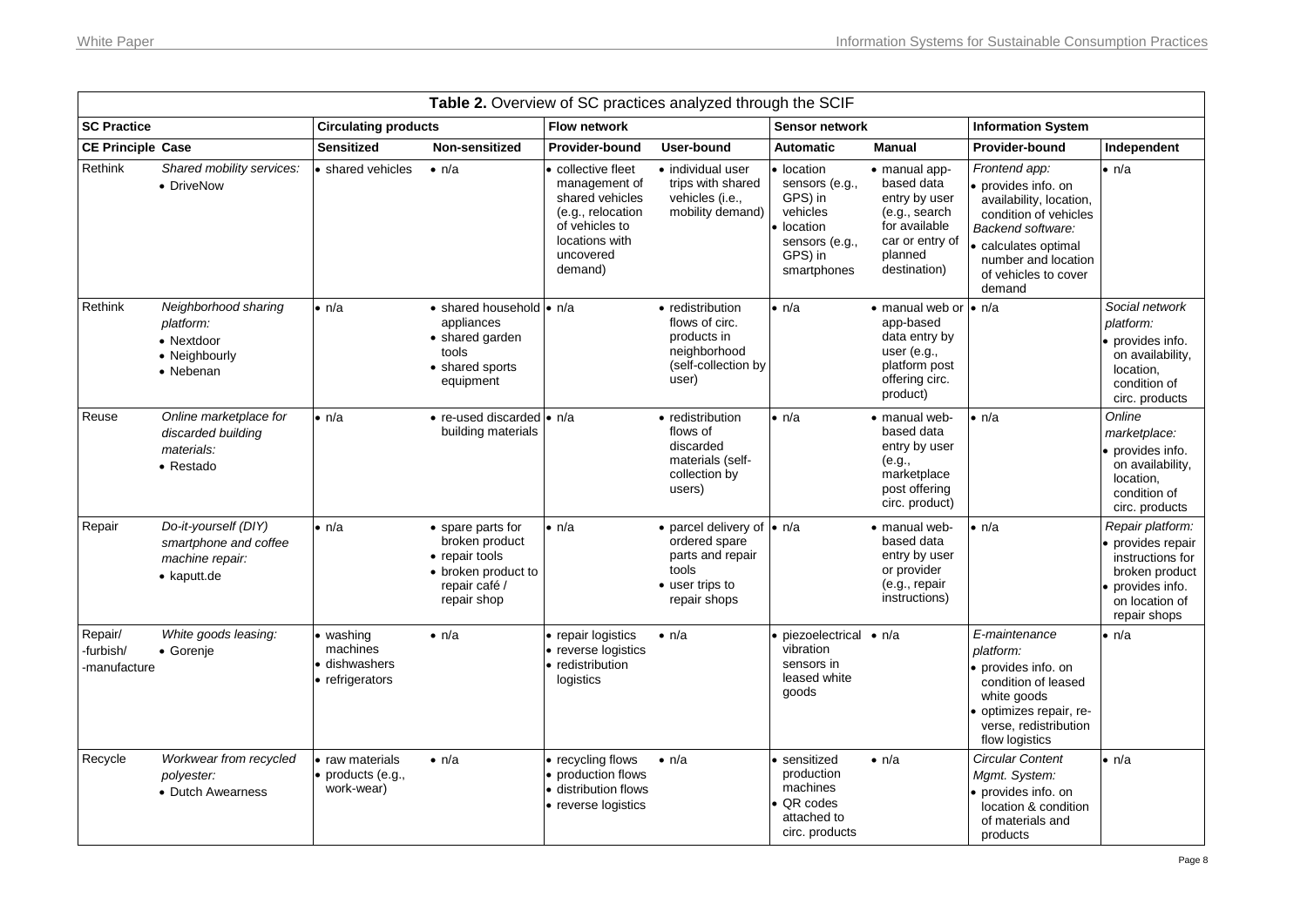<span id="page-7-0"></span>

| Table 2. Overview of SC practices analyzed through the SCIF |                                                                                         |                                                         |                                                                                                              |                                                                                                                                       |                                                                                                                     |                                                                                                             |                                                                                                                                     |                                                                                                                                                                                            |                                                                                                                               |  |
|-------------------------------------------------------------|-----------------------------------------------------------------------------------------|---------------------------------------------------------|--------------------------------------------------------------------------------------------------------------|---------------------------------------------------------------------------------------------------------------------------------------|---------------------------------------------------------------------------------------------------------------------|-------------------------------------------------------------------------------------------------------------|-------------------------------------------------------------------------------------------------------------------------------------|--------------------------------------------------------------------------------------------------------------------------------------------------------------------------------------------|-------------------------------------------------------------------------------------------------------------------------------|--|
| <b>SC Practice</b>                                          |                                                                                         | <b>Circulating products</b>                             |                                                                                                              | <b>Flow network</b>                                                                                                                   |                                                                                                                     | Sensor network                                                                                              |                                                                                                                                     | <b>Information System</b>                                                                                                                                                                  |                                                                                                                               |  |
| <b>CE Principle Case</b>                                    |                                                                                         | <b>Sensitized</b>                                       | Non-sensitized                                                                                               | <b>Provider-bound</b>                                                                                                                 | User-bound                                                                                                          | <b>Automatic</b>                                                                                            | <b>Manual</b>                                                                                                                       | <b>Provider-bound</b>                                                                                                                                                                      | Independent                                                                                                                   |  |
| Rethink                                                     | Shared mobility services:<br>• DriveNow                                                 | • shared vehicles                                       | $\bullet$ n/a                                                                                                | collective fleet<br>management of<br>shared vehicles<br>(e.g., relocation<br>of vehicles to<br>locations with<br>uncovered<br>demand) | · individual user<br>trips with shared<br>vehicles (i.e.,<br>mobility demand)                                       | • location<br>sensors (e.g.,<br>GPS) in<br>vehicles<br>location<br>sensors (e.g.,<br>GPS) in<br>smartphones | • manual app-<br>based data<br>entry by user<br>(e.g., search<br>for available<br>car or entry of<br>planned<br>destination)        | Frontend app:<br>provides info. on<br>availability, location,<br>condition of vehicles<br>Backend software:<br>calculates optimal<br>number and location<br>of vehicles to cover<br>demand | $\bullet$ n/a                                                                                                                 |  |
| Rethink                                                     | Neighborhood sharing<br>platform:<br>• Nextdoor<br>• Neighbourly<br>• Nebenan           | • n/a                                                   | • shared household • n/a<br>appliances<br>• shared garden<br>tools<br>• shared sports<br>equipment           |                                                                                                                                       | • redistribution<br>flows of circ.<br>products in<br>neighborhood<br>(self-collection by<br>user)                   | • n/a                                                                                                       | $\bullet$ manual web or $\bullet$ n/a<br>app-based<br>data entry by<br>user $(e.g.,$<br>platform post<br>offering circ.<br>product) |                                                                                                                                                                                            | Social network<br>platform:<br>• provides info.<br>on availability,<br>location,<br>condition of<br>circ. products            |  |
| Reuse                                                       | Online marketplace for<br>discarded building<br>materials:<br>• Restado                 | $\bullet$ n/a                                           | • re-used discarded • n/a<br>building materials                                                              |                                                                                                                                       | • redistribution<br>flows of<br>discarded<br>materials (self-<br>collection by<br>users)                            | $\bullet$ n/a                                                                                               | • manual web-<br>based data<br>entry by user<br>(e.g.,<br>marketplace<br>post offering<br>circ. product)                            | $\bullet$ n/a                                                                                                                                                                              | Online<br>marketplace:<br>provides info.<br>on availability,<br>location.<br>condition of<br>circ. products                   |  |
| Repair                                                      | Do-it-yourself (DIY)<br>smartphone and coffee<br>machine repair:<br>$\bullet$ kaputt.de | $\bullet$ n/a                                           | • spare parts for<br>broken product<br>• repair tools<br>• broken product to<br>repair café /<br>repair shop | $\bullet$ n/a                                                                                                                         | • parcel delivery of $\bullet$ n/a<br>ordered spare<br>parts and repair<br>tools<br>• user trips to<br>repair shops |                                                                                                             | • manual web-<br>based data<br>entry by user<br>or provider<br>(e.g., repair<br>instructions)                                       | $\bullet$ n/a                                                                                                                                                                              | Repair platform:<br>provides repair<br>instructions for<br>broken product<br>provides info.<br>on location of<br>repair shops |  |
| Repair/<br>-furbish/<br>-manufacture                        | White goods leasing:<br>• Gorenje                                                       | washing<br>machines<br>· dishwashers<br>• refrigerators | $\bullet$ n/a                                                                                                | • repair logistics<br>• reverse logistics<br>• redistribution<br>logistics                                                            | $\bullet$ n/a                                                                                                       | piezoelectrical • n/a<br>vibration<br>sensors in<br>leased white<br>goods                                   |                                                                                                                                     | E-maintenance<br>platform:<br>• provides info, on<br>condition of leased<br>white goods<br>optimizes repair, re-<br>verse, redistribution<br>flow logistics                                | ∙ n/a                                                                                                                         |  |
| Recycle                                                     | Workwear from recycled<br>polyester:<br>• Dutch Awearness                               | • raw materials<br>products (e.g.,<br>work-wear)        | $\bullet$ n/a                                                                                                | • recycling flows<br>• production flows<br>• distribution flows<br>• reverse logistics                                                | $\bullet$ n/a                                                                                                       | · sensitized<br>production<br>machines<br>QR codes<br>attached to<br>circ. products                         | $\bullet$ n/a                                                                                                                       | Circular Content<br>Mgmt. System:<br>provides info, on<br>location & condition<br>of materials and<br>products                                                                             | $\bullet$ n/a                                                                                                                 |  |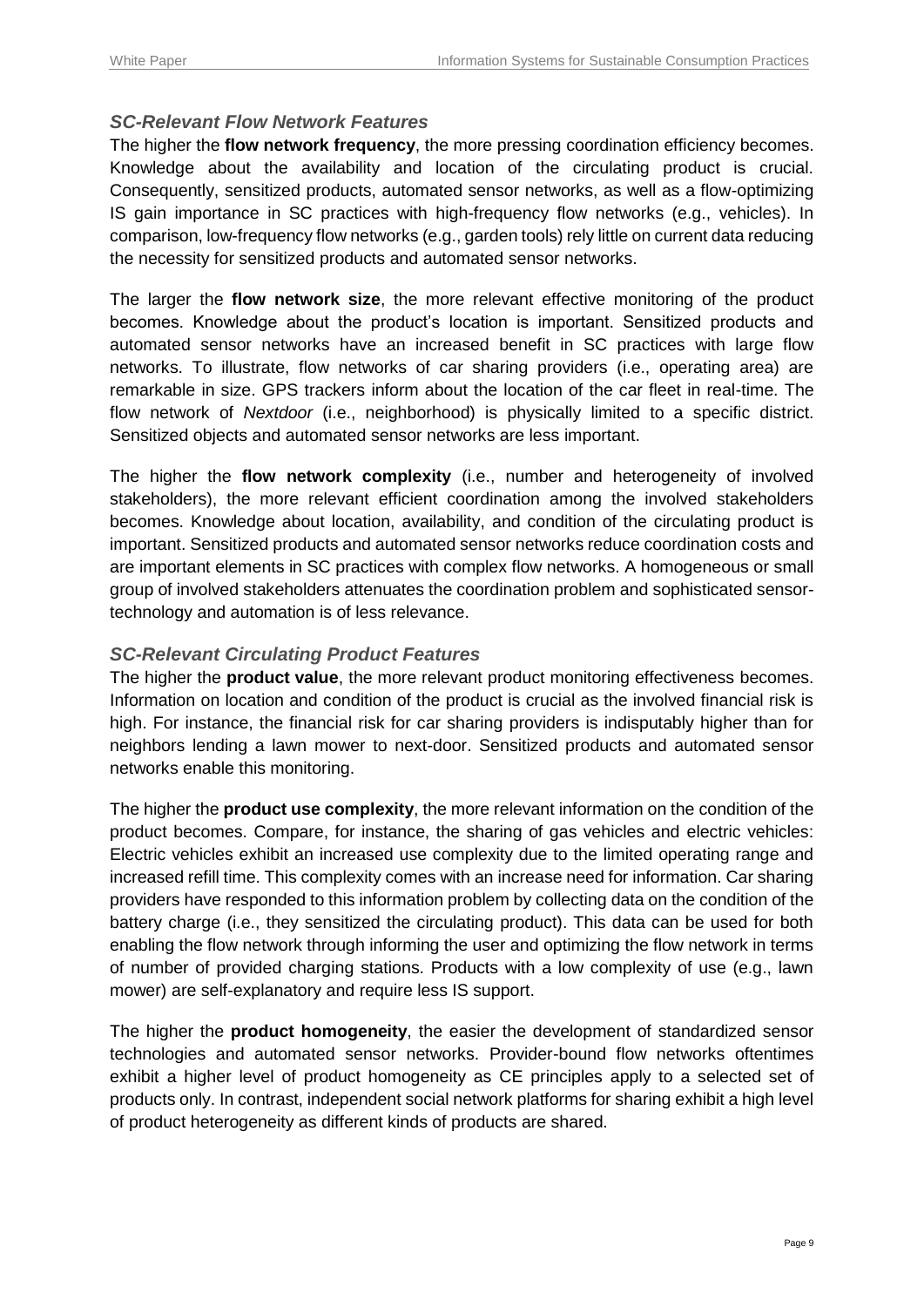#### *SC-Relevant Flow Network Features*

The higher the **flow network frequency**, the more pressing coordination efficiency becomes. Knowledge about the availability and location of the circulating product is crucial. Consequently, sensitized products, automated sensor networks, as well as a flow-optimizing IS gain importance in SC practices with high-frequency flow networks (e.g., vehicles). In comparison, low-frequency flow networks (e.g., garden tools) rely little on current data reducing the necessity for sensitized products and automated sensor networks.

The larger the **flow network size**, the more relevant effective monitoring of the product becomes. Knowledge about the product's location is important. Sensitized products and automated sensor networks have an increased benefit in SC practices with large flow networks. To illustrate, flow networks of car sharing providers (i.e., operating area) are remarkable in size. GPS trackers inform about the location of the car fleet in real-time. The flow network of *Nextdoor* (i.e., neighborhood) is physically limited to a specific district. Sensitized objects and automated sensor networks are less important.

The higher the **flow network complexity** (i.e., number and heterogeneity of involved stakeholders), the more relevant efficient coordination among the involved stakeholders becomes. Knowledge about location, availability, and condition of the circulating product is important. Sensitized products and automated sensor networks reduce coordination costs and are important elements in SC practices with complex flow networks. A homogeneous or small group of involved stakeholders attenuates the coordination problem and sophisticated sensortechnology and automation is of less relevance.

#### *SC-Relevant Circulating Product Features*

The higher the **product value**, the more relevant product monitoring effectiveness becomes. Information on location and condition of the product is crucial as the involved financial risk is high. For instance, the financial risk for car sharing providers is indisputably higher than for neighbors lending a lawn mower to next-door. Sensitized products and automated sensor networks enable this monitoring.

The higher the **product use complexity**, the more relevant information on the condition of the product becomes. Compare, for instance, the sharing of gas vehicles and electric vehicles: Electric vehicles exhibit an increased use complexity due to the limited operating range and increased refill time. This complexity comes with an increase need for information. Car sharing providers have responded to this information problem by collecting data on the condition of the battery charge (i.e., they sensitized the circulating product). This data can be used for both enabling the flow network through informing the user and optimizing the flow network in terms of number of provided charging stations. Products with a low complexity of use (e.g., lawn mower) are self-explanatory and require less IS support.

The higher the **product homogeneity**, the easier the development of standardized sensor technologies and automated sensor networks. Provider-bound flow networks oftentimes exhibit a higher level of product homogeneity as CE principles apply to a selected set of products only. In contrast, independent social network platforms for sharing exhibit a high level of product heterogeneity as different kinds of products are shared.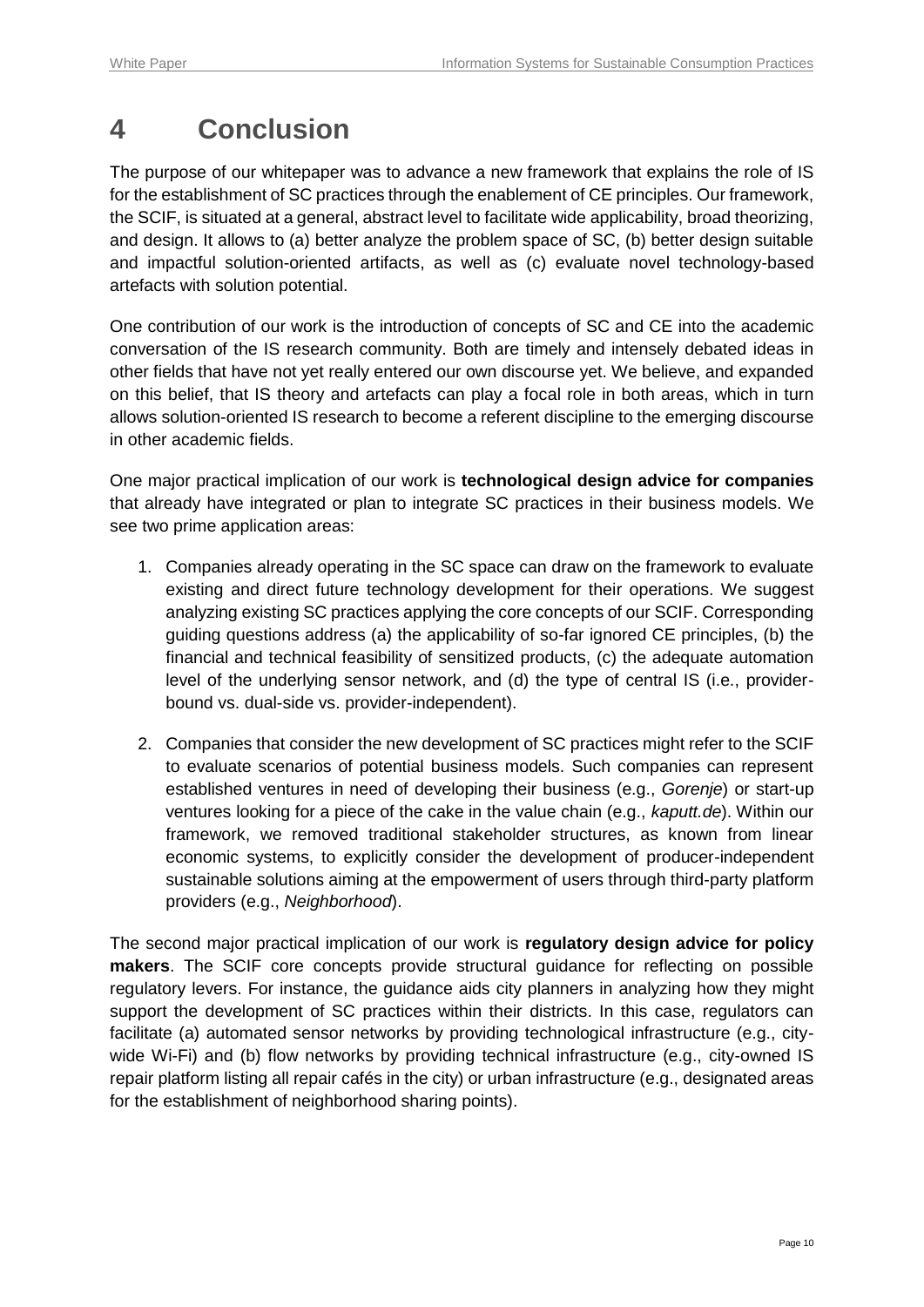### **4 Conclusion**

The purpose of our whitepaper was to advance a new framework that explains the role of IS for the establishment of SC practices through the enablement of CE principles. Our framework, the SCIF, is situated at a general, abstract level to facilitate wide applicability, broad theorizing, and design. It allows to (a) better analyze the problem space of SC, (b) better design suitable and impactful solution-oriented artifacts, as well as (c) evaluate novel technology-based artefacts with solution potential.

One contribution of our work is the introduction of concepts of SC and CE into the academic conversation of the IS research community. Both are timely and intensely debated ideas in other fields that have not yet really entered our own discourse yet. We believe, and expanded on this belief, that IS theory and artefacts can play a focal role in both areas, which in turn allows solution-oriented IS research to become a referent discipline to the emerging discourse in other academic fields.

One major practical implication of our work is **technological design advice for companies** that already have integrated or plan to integrate SC practices in their business models. We see two prime application areas:

- 1. Companies already operating in the SC space can draw on the framework to evaluate existing and direct future technology development for their operations. We suggest analyzing existing SC practices applying the core concepts of our SCIF. Corresponding guiding questions address (a) the applicability of so-far ignored CE principles, (b) the financial and technical feasibility of sensitized products, (c) the adequate automation level of the underlying sensor network, and (d) the type of central IS (i.e., providerbound vs. dual-side vs. provider-independent).
- 2. Companies that consider the new development of SC practices might refer to the SCIF to evaluate scenarios of potential business models. Such companies can represent established ventures in need of developing their business (e.g., *Gorenje*) or start-up ventures looking for a piece of the cake in the value chain (e.g., *kaputt.de*). Within our framework, we removed traditional stakeholder structures, as known from linear economic systems, to explicitly consider the development of producer-independent sustainable solutions aiming at the empowerment of users through third-party platform providers (e.g., *Neighborhood*).

The second major practical implication of our work is **regulatory design advice for policy makers**. The SCIF core concepts provide structural guidance for reflecting on possible regulatory levers. For instance, the guidance aids city planners in analyzing how they might support the development of SC practices within their districts. In this case, regulators can facilitate (a) automated sensor networks by providing technological infrastructure (e.g., citywide Wi-Fi) and (b) flow networks by providing technical infrastructure (e.g., city-owned IS repair platform listing all repair cafés in the city) or urban infrastructure (e.g., designated areas for the establishment of neighborhood sharing points).